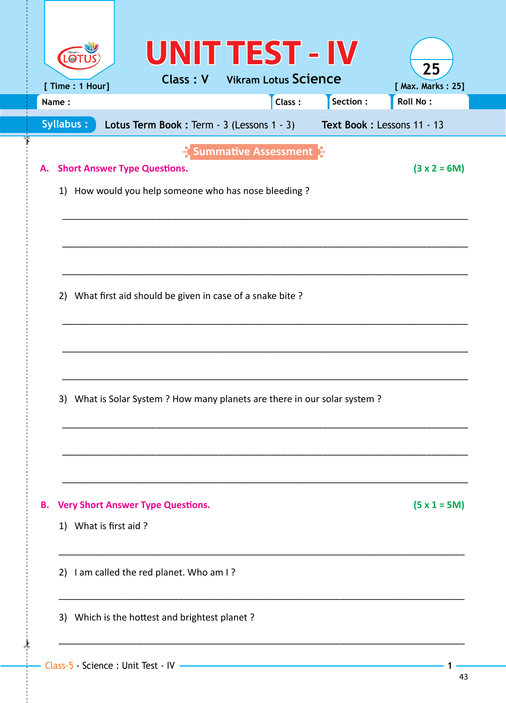|    | $\blacksquare$            | UNIT TEST - IV                                                                              | <b>Class: V</b> Vikram Lotus Science             |        |                            | 25                                   |  |  |  |  |
|----|---------------------------|---------------------------------------------------------------------------------------------|--------------------------------------------------|--------|----------------------------|--------------------------------------|--|--|--|--|
|    | [ Time : 1 Hour]<br>Name: |                                                                                             |                                                  | Class: | Section :                  | [ Max. Marks: 25]<br><b>Roll No:</b> |  |  |  |  |
|    |                           |                                                                                             |                                                  |        |                            |                                      |  |  |  |  |
|    | Syllabus:                 | Lotus Term Book: Term - 3 (Lessons 1 - 3)                                                   |                                                  |        | Text Book: Lessons 11 - 13 |                                      |  |  |  |  |
| А. |                           | <b>Short Answer Type Questions.</b><br>1) How would you help someone who has nose bleeding? | $\frac{1}{2}$ Summative Assessment $\frac{1}{2}$ |        |                            | $(3 x 2 = 6M)$                       |  |  |  |  |
|    |                           |                                                                                             |                                                  |        |                            |                                      |  |  |  |  |
|    |                           | 2) What first aid should be given in case of a snake bite?                                  |                                                  |        |                            |                                      |  |  |  |  |
|    |                           | 3) What is Solar System ? How many planets are there in our solar system ?                  |                                                  |        |                            |                                      |  |  |  |  |
| В. | 1) What is first aid?     | <b>Very Short Answer Type Questions.</b>                                                    |                                                  |        |                            | $(5 x 1 = 5M)$                       |  |  |  |  |
|    |                           | 2) I am called the red planet. Who am I?                                                    |                                                  |        |                            |                                      |  |  |  |  |
|    |                           | 3) Which is the hottest and brightest planet?                                               |                                                  |        |                            |                                      |  |  |  |  |
|    |                           |                                                                                             |                                                  |        |                            |                                      |  |  |  |  |

 $\frac{1}{2}$ 

 $\int$